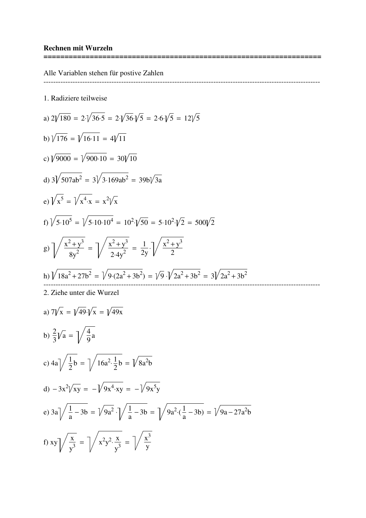Alle Variablen stehen für postive Zahlen

1. Radiziere teilweise

a) 
$$
2\sqrt{180} = 2\sqrt{36 \cdot 5} = 2\sqrt{36} \cdot \sqrt{5} = 2\cdot 6\cdot \sqrt{5} = 12\sqrt{5}
$$
  
\nb)  $\sqrt{176} = \sqrt{16 \cdot 11} = 4\sqrt{11}$   
\nc)  $\sqrt{9000} = \sqrt{900 \cdot 10} = 30\sqrt{10}$   
\nd)  $3\sqrt{507ab^2} = 3\sqrt{3.169ab^2} = 39b\sqrt{3a}$   
\ne)  $\sqrt{x^5} = \sqrt{x^4 \cdot x} = x^2/\sqrt{x}$   
\nf)  $\sqrt{5 \cdot 10^5} = \sqrt{5 \cdot 10 \cdot 10^4} = 10^2 \cdot \sqrt{50} = 5 \cdot 10^2 \cdot \sqrt{2} = 500\sqrt{2}$   
\ng)  $\sqrt{\frac{x^2 + y^3}{8y^2}} = \sqrt{\frac{x^2 + y^3}{2 \cdot 4y^2}} = \frac{1}{2y} \cdot \sqrt{\frac{x^2 + y^3}{2}}$   
\nh)  $\sqrt{18a^2 + 27b^2} = \sqrt{9 \cdot (2a^2 + 3b^2)} = \sqrt{9 \cdot 12a^2 + 3b^2} = 3\sqrt{2a^2 + 3b^2}$   
\n2. Ziehe unter die Wurzel  
\na)  $7\sqrt{x} = \sqrt{49} \cdot \sqrt{x} = \sqrt{49x}$   
\nb)  $\frac{2}{3}\sqrt{a} = \sqrt{\frac{4}{9}a}$   
\nc)  $4a\sqrt{\frac{1}{2}b} = \sqrt{16a^2 \cdot \frac{1}{2}b} = \sqrt{8a^2b}$   
\nd)  $-3x^2/\sqrt{xy} = -\sqrt{9x^4 \cdot xy} = -\sqrt{9x^5y}$   
\ne)  $3a\sqrt{\frac{1}{a} - 3b} = \sqrt{9a^2 \cdot (\frac{1}{a} - 3b)} = \sqrt{9a - 27a^2b}$   
\nf)  $xy\sqrt{\frac{x}{y^3}} = \sqrt{x^2y^2 \cdot \frac{x}{y^3}} = \sqrt{x^3}$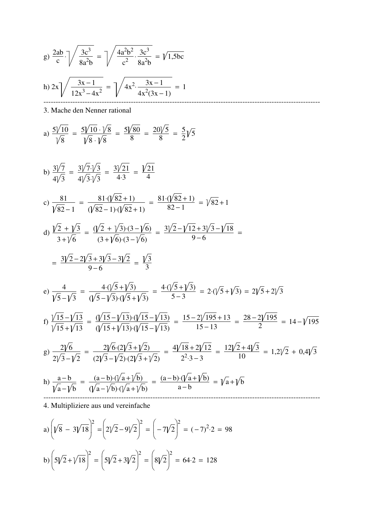g) 
$$
\frac{2ab}{c} \cdot \sqrt{\frac{3c^3}{8a^2b}} = \sqrt{\frac{4a^2b^2}{c^2} \cdot \frac{3c^3}{8a^2b}} = \sqrt{1,5bc}
$$
  
h)  $2x \sqrt{\frac{3x-1}{12x^3-4x^2}} = \sqrt{4x^2 \cdot \frac{3x-1}{4x^2(3x-1)}} = 1$ 

3. Mache den Nenner rational

a) 
$$
\frac{5\sqrt{10}}{\sqrt{8}} = \frac{5\sqrt{10} \cdot \sqrt{8}}{\sqrt{8} \cdot \sqrt{8}} = \frac{5\sqrt{80}}{8} = \frac{20\sqrt{5}}{8} = \frac{5}{2}\sqrt{5}
$$

b) 
$$
\frac{3\sqrt{7}}{4\sqrt{3}} = \frac{3\sqrt{7}\cdot\sqrt{3}}{4\sqrt{3}\cdot\sqrt{3}} = \frac{3\sqrt{21}}{4\cdot3} = \frac{\sqrt{21}}{4}
$$
  
c) 
$$
\frac{81}{\sqrt{82} - 1} = \frac{81\cdot(\sqrt{82} + 1)}{(\sqrt{82} - 1)\cdot(\sqrt{82} + 1)} = \frac{81\cdot(\sqrt{82} + 1)}{82 - 1} = \sqrt{82} + 1
$$
  
d) 
$$
\frac{\sqrt{2} + \sqrt{3}}{3 + \sqrt{6}} = \frac{(\sqrt{2} + \sqrt{3})\cdot(3 - \sqrt{6})}{(3 + \sqrt{6})\cdot(3 - \sqrt{6})} = \frac{3\sqrt{2} - \sqrt{12} + 3\sqrt{3} - \sqrt{18}}{9 - 6} =
$$

$$
= \frac{3\sqrt{2} - 2\sqrt{3} + 3\sqrt{3} - 3\sqrt{2}}{9 - 6} = \frac{\sqrt{3}}{3}
$$
  
e) 
$$
\frac{4}{\sqrt{5} - \sqrt{3}} = \frac{4\cdot(\sqrt{5} + \sqrt{3})}{(\sqrt{5} - \sqrt{3})\cdot(\sqrt{5} + \sqrt{3})} = \frac{4\cdot(\sqrt{5} + \sqrt{3})}{5 - 3} = 2\cdot(\sqrt{5} + \sqrt{3}) = 2\sqrt{5} + 2\sqrt{3}
$$
  
f) 
$$
\frac{\sqrt{15} - \sqrt{13}}{\sqrt{15} + \sqrt{13}} = \frac{(\sqrt{15} - \sqrt{13})\cdot(\sqrt{15} - \sqrt{13})}{(\sqrt{15} + \sqrt{13})\cdot(\sqrt{15} - \sqrt{13})} = \frac{15 - 2\sqrt{195} + 13}{15 - 13} = \frac{28 - 2\sqrt{195}}{2} = 14 - \sqrt{195}
$$
  
g) 
$$
\frac{2\sqrt{6}}{2\sqrt{3} - \sqrt{2}} = \frac{2\sqrt{6} \cdot (2\sqrt{3} + \sqrt{2})}{(2\sqrt{3} - \sqrt{2}) \cdot (2\sqrt{3} + \sqrt{2})} = \frac{4\sqrt{18} + 2\sqrt{12}}{2^2 \cdot 3 - 3} = \frac
$$

4. Multipliziere aus und vereinfache

a) 
$$
\left(\sqrt{8} - 3\sqrt{18}\right)^2 = \left(2\sqrt{2} - 9\sqrt{2}\right)^2 = \left(-7\sqrt{2}\right)^2 = (-7)^2 \cdot 2 = 98
$$
  
b)  $\left(5\sqrt{2} + \sqrt{18}\right)^2 = \left(5\sqrt{2} + 3\sqrt{2}\right)^2 = \left(8\sqrt{2}\right)^2 = 64 \cdot 2 = 128$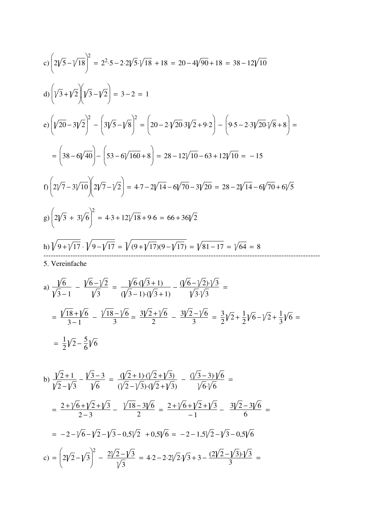c) 
$$
\left(2\sqrt{5}-\sqrt{18}\right)^2 = 2^2 \cdot 5 - 2 \cdot 2\sqrt{5} \cdot \sqrt{18} + 18 = 20 - 4\sqrt{90} + 18 = 38 - 12\sqrt{10}
$$
  
d)  $\left(\sqrt{3}+\sqrt{2}\right)\left(\sqrt{3}-\sqrt{2}\right) = 3-2 = 1$   
e)  $\left(\sqrt{20}-3\sqrt{2}\right)^2 - \left(3\sqrt{5}-\sqrt{8}\right)^2 = \left(20-2\sqrt{20}\cdot 3\sqrt{2}+9\cdot 2\right) - \left(9\cdot 5-2\cdot 3\sqrt{20}\cdot \sqrt{8}+8\right) =$   
 $= \left(38-6\sqrt{40}\right) - \left(53-6\sqrt{160}+8\right) = 28-12\sqrt{10}-63+12\sqrt{10} = -15$   
f)  $\left(2\sqrt{7}-3\sqrt{10}\right)\left(2\sqrt{7}-\sqrt{2}\right) = 4\cdot 7-2\sqrt{14}-6\sqrt{70}-3\sqrt{20} = 28-2\sqrt{14}-6\sqrt{70}+6\sqrt{5}$   
g)  $\left(2\sqrt{3}+3\sqrt{6}\right)^2 = 4\cdot 3 + 12\sqrt{18}+9\cdot 6 = 66+36\sqrt{2}$   
h)  $\sqrt{9+\sqrt{17}}\cdot \sqrt{9-\sqrt{17}} = \sqrt{(9+\sqrt{17})(9-\sqrt{17})} = \sqrt{81-17} = \sqrt{64} = 8$   
5. Verenfache  
a)  $\frac{\sqrt{6}}{\sqrt{3}-1} - \frac{\sqrt{6}-\sqrt{2}}{\sqrt{3}} = \frac{\sqrt{6}\cdot(\sqrt{3}+1)}{\sqrt{3}-1\cdot(\sqrt{3}+1)} - \frac{\sqrt{6}-\sqrt{2}\cdot \sqrt{3}}{\sqrt{3}\cdot\sqrt{3}} =$   
 $= \frac{\sqrt{18}+\sqrt{6}}{3-1} - \frac{\sqrt{18}-\sqrt{6}}{3} = \frac{3\sqrt{2}+\sqrt{6}}{2} - \frac{31\sqrt{2}-\sqrt{6}}{3} = \frac{3}{2}\sqrt{2}+\frac{1}{2}\sqrt{6}-\sqrt{2}+\frac{1}{3}\sqrt{6} =$ 

$$
=\frac{1}{2}\sqrt{2}-\frac{5}{6}\sqrt{6}
$$

b) 
$$
\frac{\sqrt{2}+1}{\sqrt{2}-\sqrt{3}} - \frac{\sqrt{3}-3}{\sqrt{6}} = \frac{(\sqrt{2}+1)\cdot(\sqrt{2}+\sqrt{3})}{(\sqrt{2}-\sqrt{3})\cdot(\sqrt{2}+\sqrt{3})} - \frac{(\sqrt{3}-3)\cdot\sqrt{6}}{\sqrt{6}\cdot\sqrt{6}} =
$$
  
\n
$$
= \frac{2+\sqrt{6}+\sqrt{2}+\sqrt{3}}{2-3} - \frac{\sqrt{18}-3\sqrt{6}}{2} = \frac{2+\sqrt{6}+\sqrt{2}+\sqrt{3}}{-1} - \frac{3\sqrt{2}-3\sqrt{6}}{6} =
$$
  
\n
$$
= -2-\sqrt{6}-\sqrt{2}-\sqrt{3}-0.5\sqrt{2} + 0.5\sqrt{6} = -2-1.5\sqrt{2}-\sqrt{3}-0.5\sqrt{6}
$$
  
\nc) 
$$
= (2\sqrt{2}-\sqrt{3})^2 - \frac{2\sqrt{2}-\sqrt{3}}{\sqrt{3}} = 4\cdot2 - 2\cdot2\sqrt{2}\cdot\sqrt{3} + 3 - \frac{(2\sqrt{2}-\sqrt{3})\cdot\sqrt{3}}{3} =
$$